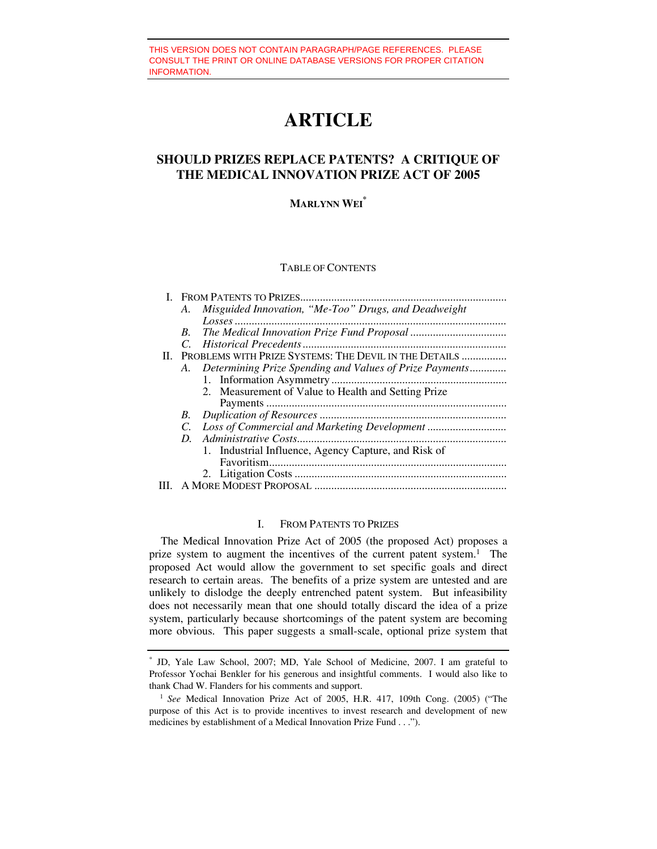# **ARTICLE**

# **SHOULD PRIZES REPLACE PATENTS? A CRITIQUE OF THE MEDICAL INNOVATION PRIZE ACT OF 2005**

# **MARLYNN WEI\***

#### TABLE OF CONTENTS

|  | А.                                                        | Misguided Innovation, "Me-Too" Drugs, and Deadweight       |
|--|-----------------------------------------------------------|------------------------------------------------------------|
|  |                                                           |                                                            |
|  | В.                                                        |                                                            |
|  | C.                                                        |                                                            |
|  | II. PROBLEMS WITH PRIZE SYSTEMS: THE DEVIL IN THE DETAILS |                                                            |
|  |                                                           | A. Determining Prize Spending and Values of Prize Payments |
|  |                                                           |                                                            |
|  |                                                           | 2. Measurement of Value to Health and Setting Prize        |
|  |                                                           |                                                            |
|  | В.                                                        |                                                            |
|  | C.                                                        |                                                            |
|  | D                                                         |                                                            |
|  |                                                           | 1. Industrial Influence, Agency Capture, and Risk of       |
|  |                                                           |                                                            |
|  |                                                           |                                                            |
|  |                                                           |                                                            |

#### I. FROM PATENTS TO PRIZES

The Medical Innovation Prize Act of 2005 (the proposed Act) proposes a prize system to augment the incentives of the current patent system.<sup>1</sup> The proposed Act would allow the government to set specific goals and direct research to certain areas. The benefits of a prize system are untested and are unlikely to dislodge the deeply entrenched patent system. But infeasibility does not necessarily mean that one should totally discard the idea of a prize system, particularly because shortcomings of the patent system are becoming more obvious. This paper suggests a small-scale, optional prize system that

<sup>\*</sup> JD, Yale Law School, 2007; MD, Yale School of Medicine, 2007. I am grateful to Professor Yochai Benkler for his generous and insightful comments. I would also like to thank Chad W. Flanders for his comments and support. 1 *See* Medical Innovation Prize Act of 2005, H.R. 417, 109th Cong. (2005) ("The

purpose of this Act is to provide incentives to invest research and development of new medicines by establishment of a Medical Innovation Prize Fund . . .").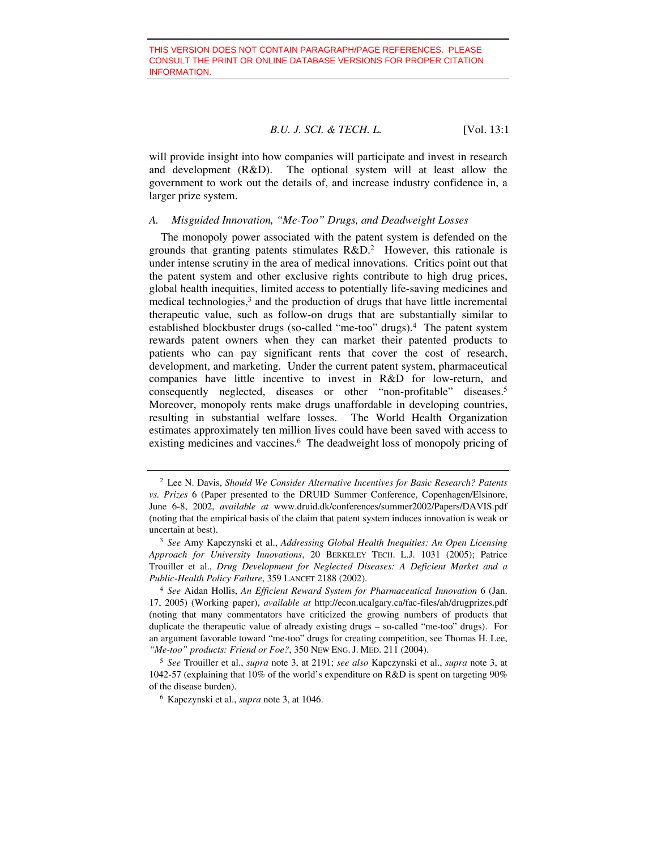will provide insight into how companies will participate and invest in research and development (R&D). The optional system will at least allow the government to work out the details of, and increase industry confidence in, a larger prize system.

#### *A. Misguided Innovation, "Me-Too" Drugs, and Deadweight Losses*

The monopoly power associated with the patent system is defended on the grounds that granting patents stimulates R&D.2 However, this rationale is under intense scrutiny in the area of medical innovations. Critics point out that the patent system and other exclusive rights contribute to high drug prices, global health inequities, limited access to potentially life-saving medicines and medical technologies,<sup>3</sup> and the production of drugs that have little incremental therapeutic value, such as follow-on drugs that are substantially similar to established blockbuster drugs (so-called "me-too" drugs).4 The patent system rewards patent owners when they can market their patented products to patients who can pay significant rents that cover the cost of research, development, and marketing. Under the current patent system, pharmaceutical companies have little incentive to invest in R&D for low-return, and consequently neglected, diseases or other "non-profitable" diseases.5 Moreover, monopoly rents make drugs unaffordable in developing countries, resulting in substantial welfare losses. The World Health Organization estimates approximately ten million lives could have been saved with access to existing medicines and vaccines.<sup>6</sup> The deadweight loss of monopoly pricing of

<sup>2</sup> Lee N. Davis, *Should We Consider Alternative Incentives for Basic Research? Patents vs. Prizes* 6 (Paper presented to the DRUID Summer Conference, Copenhagen/Elsinore, June 6-8, 2002, *available at* www.druid.dk/conferences/summer2002/Papers/DAVIS.pdf (noting that the empirical basis of the claim that patent system induces innovation is weak or uncertain at best). 3 *See* Amy Kapczynski et al., *Addressing Global Health Inequities: An Open Licensing* 

*Approach for University Innovations*, 20 BERKELEY TECH. L.J. 1031 (2005); Patrice Trouiller et al., *Drug Development for Neglected Diseases: A Deficient Market and a Public-Health Policy Failure*, 359 LANCET 2188 (2002).

<sup>4</sup> *See* Aidan Hollis, *An Efficient Reward System for Pharmaceutical Innovation* 6 (Jan. 17, 2005) (Working paper), *available at* http://econ.ucalgary.ca/fac-files/ah/drugprizes.pdf (noting that many commentators have criticized the growing numbers of products that duplicate the therapeutic value of already existing drugs – so-called "me-too" drugs). For an argument favorable toward "me-too" drugs for creating competition, see Thomas H. Lee, *"Me-too" products: Friend or Foe?*, 350 NEW ENG. J. MED. 211 (2004).

<sup>5</sup> *See* Trouiller et al., *supra* note 3, at 2191; *see also* Kapczynski et al., *supra* note 3, at 1042-57 (explaining that 10% of the world's expenditure on R&D is spent on targeting 90% of the disease burden). 6 Kapczynski et al., *supra* note 3, at 1046.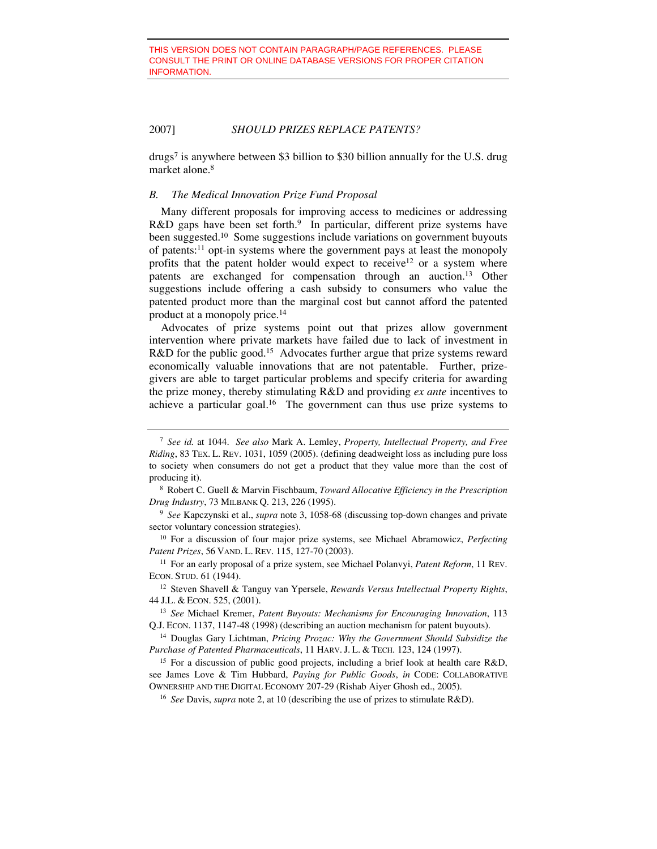drugs7 is anywhere between \$3 billion to \$30 billion annually for the U.S. drug market alone.<sup>8</sup>

#### *B. The Medical Innovation Prize Fund Proposal*

Many different proposals for improving access to medicines or addressing R&D gaps have been set forth.<sup>9</sup> In particular, different prize systems have been suggested.<sup>10</sup> Some suggestions include variations on government buyouts of patents:11 opt-in systems where the government pays at least the monopoly profits that the patent holder would expect to receive<sup>12</sup> or a system where patents are exchanged for compensation through an auction.13 Other suggestions include offering a cash subsidy to consumers who value the patented product more than the marginal cost but cannot afford the patented product at a monopoly price.14

Advocates of prize systems point out that prizes allow government intervention where private markets have failed due to lack of investment in R&D for the public good.<sup>15</sup> Advocates further argue that prize systems reward economically valuable innovations that are not patentable. Further, prizegivers are able to target particular problems and specify criteria for awarding the prize money, thereby stimulating R&D and providing *ex ante* incentives to achieve a particular goal.<sup>16</sup> The government can thus use prize systems to

<sup>7</sup> *See id.* at 1044. *See also* Mark A. Lemley, *Property, Intellectual Property, and Free Riding*, 83 TEX. L. REV. 1031, 1059 (2005). (defining deadweight loss as including pure loss to society when consumers do not get a product that they value more than the cost of producing it). 8 Robert C. Guell & Marvin Fischbaum, *Toward Allocative Efficiency in the Prescription* 

*Drug Industry*, 73 MILBANK Q. 213, 226 (1995).

<sup>9</sup> *See* Kapczynski et al., *supra* note 3, 1058-68 (discussing top-down changes and private sector voluntary concession strategies). 10 For a discussion of four major prize systems, see Michael Abramowicz, *Perfecting* 

*Patent Prizes*, 56 VAND. L. REV. 115, 127-70 (2003).

<sup>11</sup> For an early proposal of a prize system, see Michael Polanvyi, *Patent Reform*, 11 REV. ECON. STUD. 61 (1944).

<sup>12</sup> Steven Shavell & Tanguy van Ypersele, *Rewards Versus Intellectual Property Rights*, 44 J.L. & ECON. 525, (2001). 13 *See* Michael Kremer, *Patent Buyouts: Mechanisms for Encouraging Innovation*, 113

Q.J. ECON. 1137, 1147-48 (1998) (describing an auction mechanism for patent buyouts).

<sup>14</sup> Douglas Gary Lichtman, *Pricing Prozac: Why the Government Should Subsidize the Purchase of Patented Pharmaceuticals*, 11 HARV. J. L. & TECH. 123, 124 (1997).

<sup>&</sup>lt;sup>15</sup> For a discussion of public good projects, including a brief look at health care R&D, see James Love & Tim Hubbard, *Paying for Public Goods*, *in* CODE: COLLABORATIVE OWNERSHIP AND THE DIGITAL ECONOMY 207-29 (Rishab Aiyer Ghosh ed., 2005).

<sup>16</sup> *See* Davis, *supra* note 2, at 10 (describing the use of prizes to stimulate R&D).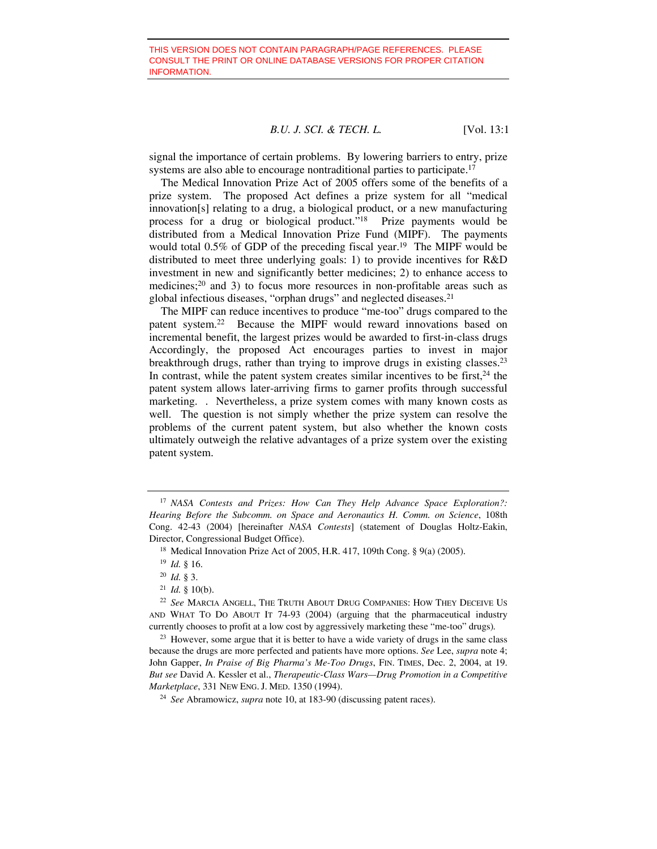signal the importance of certain problems. By lowering barriers to entry, prize systems are also able to encourage nontraditional parties to participate.<sup>17</sup>

The Medical Innovation Prize Act of 2005 offers some of the benefits of a prize system. The proposed Act defines a prize system for all "medical innovation[s] relating to a drug, a biological product, or a new manufacturing process for a drug or biological product."18 Prize payments would be distributed from a Medical Innovation Prize Fund (MIPF). The payments would total 0.5% of GDP of the preceding fiscal year.<sup>19</sup> The MIPF would be distributed to meet three underlying goals: 1) to provide incentives for R&D investment in new and significantly better medicines; 2) to enhance access to medicines;<sup>20</sup> and 3) to focus more resources in non-profitable areas such as global infectious diseases, "orphan drugs" and neglected diseases.21

The MIPF can reduce incentives to produce "me-too" drugs compared to the patent system.22 Because the MIPF would reward innovations based on incremental benefit, the largest prizes would be awarded to first-in-class drugs Accordingly, the proposed Act encourages parties to invest in major breakthrough drugs, rather than trying to improve drugs in existing classes.23 In contrast, while the patent system creates similar incentives to be first, $24$  the patent system allows later-arriving firms to garner profits through successful marketing. . Nevertheless, a prize system comes with many known costs as well. The question is not simply whether the prize system can resolve the problems of the current patent system, but also whether the known costs ultimately outweigh the relative advantages of a prize system over the existing patent system.

<sup>17</sup> *NASA Contests and Prizes: How Can They Help Advance Space Exploration?: Hearing Before the Subcomm. on Space and Aeronautics H. Comm. on Science*, 108th Cong. 42-43 (2004) [hereinafter *NASA Contests*] (statement of Douglas Holtz-Eakin, Director, Congressional Budget Office).<br><sup>18</sup> Medical Innovation Prize Act of 2005, H.R. 417, 109th Cong. § 9(a) (2005).

<sup>19</sup> *Id.* § 16. 20 *Id.* § 3.

 $21$  *Id.* § 10(b).

<sup>22</sup> *See* MARCIA ANGELL, THE TRUTH ABOUT DRUG COMPANIES: HOW THEY DECEIVE US AND WHAT TO DO ABOUT IT 74-93 (2004) (arguing that the pharmaceutical industry currently chooses to profit at a low cost by aggressively marketing these "me-too" drugs)*.* 

<sup>&</sup>lt;sup>23</sup> However, some argue that it is better to have a wide variety of drugs in the same class because the drugs are more perfected and patients have more options. *See* Lee, *supra* note 4; John Gapper, *In Praise of Big Pharma's Me-Too Drugs*, FIN. TIMES, Dec. 2, 2004, at 19. *But see* David A. Kessler et al., *Therapeutic-Class Wars—Drug Promotion in a Competitive Marketplace*, 331 NEW ENG. J. MED. 1350 (1994).

<sup>24</sup> *See* Abramowicz, *supra* note 10, at 183-90 (discussing patent races).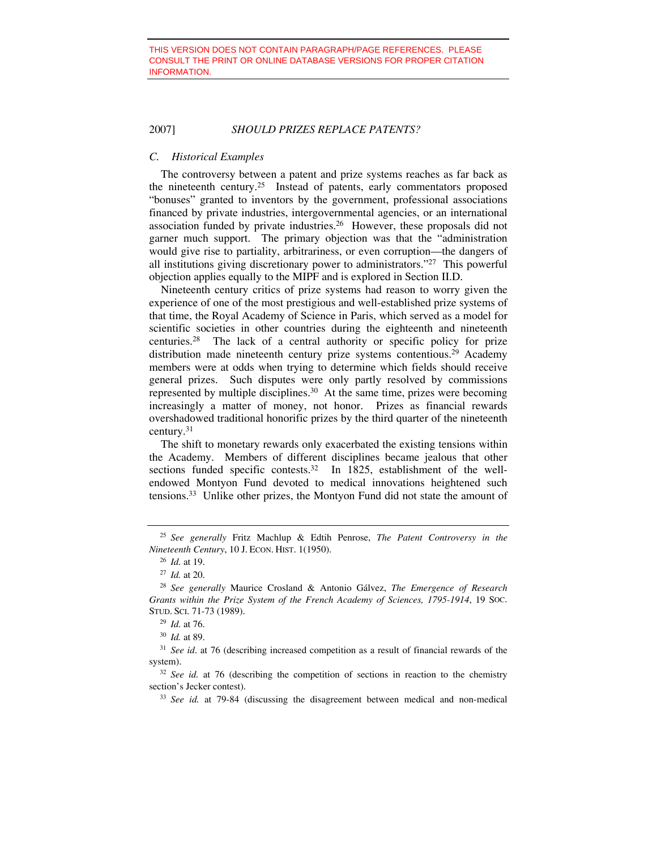#### *C. Historical Examples*

The controversy between a patent and prize systems reaches as far back as the nineteenth century.25 Instead of patents, early commentators proposed "bonuses" granted to inventors by the government, professional associations financed by private industries, intergovernmental agencies, or an international association funded by private industries.26 However, these proposals did not garner much support. The primary objection was that the "administration would give rise to partiality, arbitrariness, or even corruption—the dangers of all institutions giving discretionary power to administrators."27 This powerful objection applies equally to the MIPF and is explored in Section II.D.

Nineteenth century critics of prize systems had reason to worry given the experience of one of the most prestigious and well-established prize systems of that time, the Royal Academy of Science in Paris, which served as a model for scientific societies in other countries during the eighteenth and nineteenth centuries.28 The lack of a central authority or specific policy for prize distribution made nineteenth century prize systems contentious.<sup>29</sup> Academy members were at odds when trying to determine which fields should receive general prizes. Such disputes were only partly resolved by commissions represented by multiple disciplines.30 At the same time, prizes were becoming increasingly a matter of money, not honor. Prizes as financial rewards overshadowed traditional honorific prizes by the third quarter of the nineteenth century.31

The shift to monetary rewards only exacerbated the existing tensions within the Academy. Members of different disciplines became jealous that other sections funded specific contests.<sup>32</sup> In 1825, establishment of the wellendowed Montyon Fund devoted to medical innovations heightened such tensions.33 Unlike other prizes, the Montyon Fund did not state the amount of

<sup>25</sup> *See generally* Fritz Machlup & Edtih Penrose, *The Patent Controversy in the Nineteenth Century*, 10 J. ECON. HIST. 1(1950).

<sup>26</sup> *Id.* at 19. 27 *Id.* at 20. 28 *See generally* Maurice Crosland & Antonio Gálvez, *The Emergence of Research Grants within the Prize System of the French Academy of Sciences, 1795-1914*, 19 SOC. STUD. SCI. 71-73 (1989).

<sup>29</sup> *Id.* at 76.

<sup>30</sup> *Id.* at 89.

<sup>&</sup>lt;sup>31</sup> *See id.* at 76 (describing increased competition as a result of financial rewards of the system).

<sup>&</sup>lt;sup>32</sup> *See id.* at 76 (describing the competition of sections in reaction to the chemistry section's Jecker contest). 33 *See id.* at 79-84 (discussing the disagreement between medical and non-medical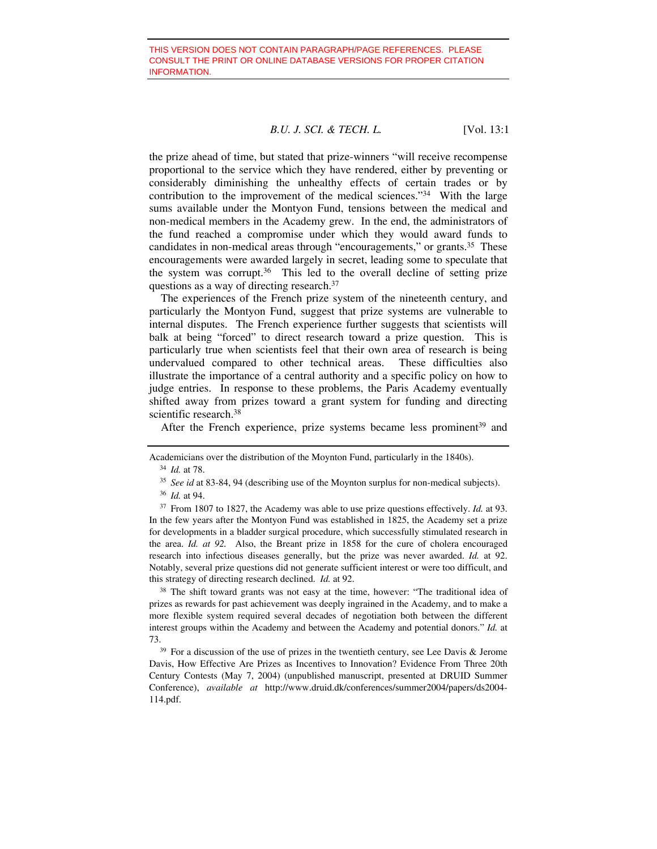the prize ahead of time, but stated that prize-winners "will receive recompense proportional to the service which they have rendered, either by preventing or considerably diminishing the unhealthy effects of certain trades or by contribution to the improvement of the medical sciences."34 With the large sums available under the Montyon Fund, tensions between the medical and non-medical members in the Academy grew. In the end, the administrators of the fund reached a compromise under which they would award funds to candidates in non-medical areas through "encouragements," or grants.35 These encouragements were awarded largely in secret, leading some to speculate that the system was corrupt.36 This led to the overall decline of setting prize questions as a way of directing research.37

The experiences of the French prize system of the nineteenth century, and particularly the Montyon Fund, suggest that prize systems are vulnerable to internal disputes. The French experience further suggests that scientists will balk at being "forced" to direct research toward a prize question. This is particularly true when scientists feel that their own area of research is being undervalued compared to other technical areas. These difficulties also illustrate the importance of a central authority and a specific policy on how to judge entries. In response to these problems, the Paris Academy eventually shifted away from prizes toward a grant system for funding and directing scientific research.<sup>38</sup>

After the French experience, prize systems became less prominent<sup>39</sup> and

<sup>34</sup> *Id.* at 78.

<sup>36</sup> *Id.* at 94.

<sup>37</sup> From 1807 to 1827, the Academy was able to use prize questions effectively. *Id.* at 93. In the few years after the Montyon Fund was established in 1825, the Academy set a prize for developments in a bladder surgical procedure, which successfully stimulated research in the area. *Id. at 92.* Also, the Breant prize in 1858 for the cure of cholera encouraged research into infectious diseases generally, but the prize was never awarded. *Id.* at 92. Notably, several prize questions did not generate sufficient interest or were too difficult, and this strategy of directing research declined. *Id.* at 92.

<sup>38</sup> The shift toward grants was not easy at the time, however: "The traditional idea of prizes as rewards for past achievement was deeply ingrained in the Academy, and to make a more flexible system required several decades of negotiation both between the different interest groups within the Academy and between the Academy and potential donors." *Id.* at 73.<br><sup>39</sup> For a discussion of the use of prizes in the twentieth century, see Lee Davis & Jerome

Davis, How Effective Are Prizes as Incentives to Innovation? Evidence From Three 20th Century Contests (May 7, 2004) (unpublished manuscript, presented at DRUID Summer Conference), *available at* http://www.druid.dk/conferences/summer2004/papers/ds2004- 114.pdf.

Academicians over the distribution of the Moynton Fund, particularly in the 1840s).

<sup>35</sup> *See id* at 83-84, 94 (describing use of the Moynton surplus for non-medical subjects).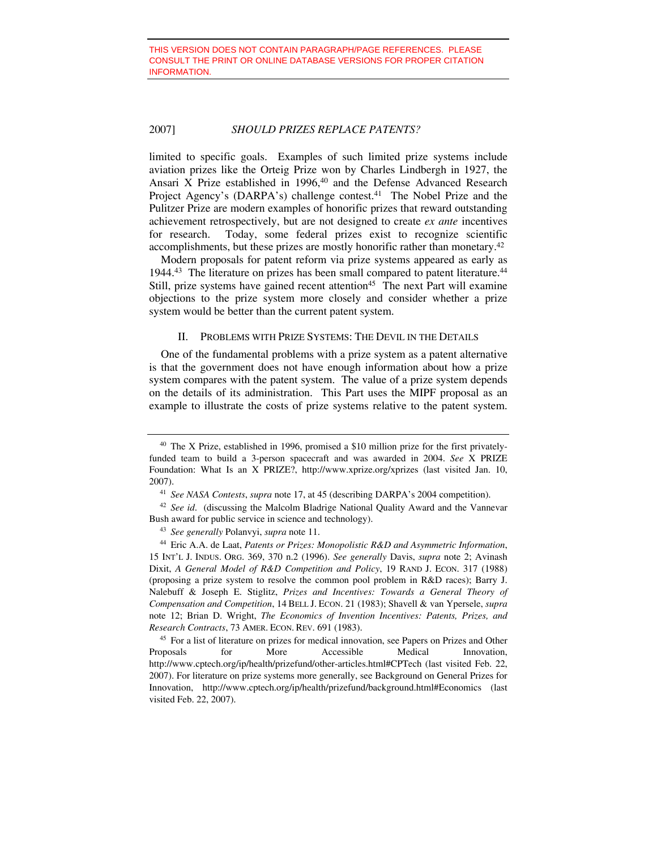limited to specific goals. Examples of such limited prize systems include aviation prizes like the Orteig Prize won by Charles Lindbergh in 1927, the Ansari X Prize established in  $1996,40$  and the Defense Advanced Research Project Agency's (DARPA's) challenge contest.<sup>41</sup> The Nobel Prize and the Pulitzer Prize are modern examples of honorific prizes that reward outstanding achievement retrospectively, but are not designed to create *ex ante* incentives for research. Today, some federal prizes exist to recognize scientific accomplishments, but these prizes are mostly honorific rather than monetary.42

Modern proposals for patent reform via prize systems appeared as early as 1944.<sup>43</sup> The literature on prizes has been small compared to patent literature.<sup>44</sup> Still, prize systems have gained recent attention<sup>45</sup> The next Part will examine objections to the prize system more closely and consider whether a prize system would be better than the current patent system.

#### II. PROBLEMS WITH PRIZE SYSTEMS: THE DEVIL IN THE DETAILS

One of the fundamental problems with a prize system as a patent alternative is that the government does not have enough information about how a prize system compares with the patent system. The value of a prize system depends on the details of its administration. This Part uses the MIPF proposal as an example to illustrate the costs of prize systems relative to the patent system.

<sup>42</sup> *See id*. (discussing the Malcolm Bladrige National Quality Award and the Vannevar Bush award for public service in science and technology). 43 *See generally* Polanvyi, *supra* note 11.

<sup>40</sup> The X Prize, established in 1996, promised a \$10 million prize for the first privatelyfunded team to build a 3-person spacecraft and was awarded in 2004. *See* X PRIZE Foundation: What Is an X PRIZE?, http://www.xprize.org/xprizes (last visited Jan. 10, 2007). 41 *See NASA Contests*, *supra* note 17, at 45 (describing DARPA's 2004 competition).

<sup>44</sup> Eric A.A. de Laat, *Patents or Prizes: Monopolistic R&D and Asymmetric Information*, 15 INT'L J. INDUS. ORG. 369, 370 n.2 (1996). *See generally* Davis, *supra* note 2; Avinash Dixit, *A General Model of R&D Competition and Policy*, 19 RAND J. ECON. 317 (1988) (proposing a prize system to resolve the common pool problem in R&D races); Barry J. Nalebuff & Joseph E. Stiglitz, *Prizes and Incentives: Towards a General Theory of Compensation and Competition*, 14 BELL J. ECON. 21 (1983); Shavell & van Ypersele, *supra* note 12; Brian D. Wright, *The Economics of Invention Incentives: Patents, Prizes, and Research Contracts*, 73 AMER. ECON. REV. 691 (1983).

<sup>45</sup> For a list of literature on prizes for medical innovation, see Papers on Prizes and Other Proposals for More Accessible Medical Innovation, http://www.cptech.org/ip/health/prizefund/other-articles.html#CPTech (last visited Feb. 22, 2007). For literature on prize systems more generally, see Background on General Prizes for Innovation, http://www.cptech.org/ip/health/prizefund/background.html#Economics (last visited Feb. 22, 2007).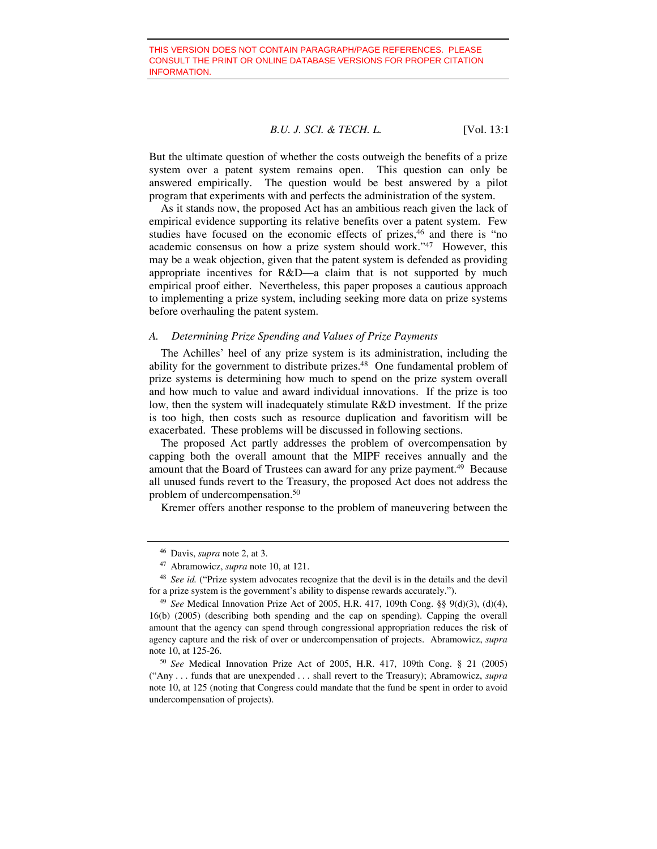But the ultimate question of whether the costs outweigh the benefits of a prize system over a patent system remains open. This question can only be answered empirically. The question would be best answered by a pilot program that experiments with and perfects the administration of the system.

As it stands now, the proposed Act has an ambitious reach given the lack of empirical evidence supporting its relative benefits over a patent system. Few studies have focused on the economic effects of prizes,<sup>46</sup> and there is "no academic consensus on how a prize system should work."47 However, this may be a weak objection, given that the patent system is defended as providing appropriate incentives for R&D—a claim that is not supported by much empirical proof either. Nevertheless, this paper proposes a cautious approach to implementing a prize system, including seeking more data on prize systems before overhauling the patent system.

#### *A. Determining Prize Spending and Values of Prize Payments*

The Achilles' heel of any prize system is its administration, including the ability for the government to distribute prizes.<sup>48</sup> One fundamental problem of prize systems is determining how much to spend on the prize system overall and how much to value and award individual innovations. If the prize is too low, then the system will inadequately stimulate R&D investment. If the prize is too high, then costs such as resource duplication and favoritism will be exacerbated. These problems will be discussed in following sections.

The proposed Act partly addresses the problem of overcompensation by capping both the overall amount that the MIPF receives annually and the amount that the Board of Trustees can award for any prize payment.<sup>49</sup> Because all unused funds revert to the Treasury, the proposed Act does not address the problem of undercompensation.50

Kremer offers another response to the problem of maneuvering between the

<sup>46</sup> Davis, *supra* note 2, at 3. 47 Abramowicz, *supra* note 10, at 121.

<sup>48</sup> *See id.* ("Prize system advocates recognize that the devil is in the details and the devil for a prize system is the government's ability to dispense rewards accurately."). 49 *See* Medical Innovation Prize Act of 2005, H.R. 417, 109th Cong. §§ 9(d)(3), (d)(4),

<sup>16(</sup>b) (2005) (describing both spending and the cap on spending). Capping the overall amount that the agency can spend through congressional appropriation reduces the risk of agency capture and the risk of over or undercompensation of projects. Abramowicz, *supra*  note 10, at 125-26. 50 *See* Medical Innovation Prize Act of 2005, H.R. 417, 109th Cong. § 21 (2005)

<sup>(&</sup>quot;Any . . . funds that are unexpended . . . shall revert to the Treasury); Abramowicz, *supra* note 10, at 125 (noting that Congress could mandate that the fund be spent in order to avoid undercompensation of projects).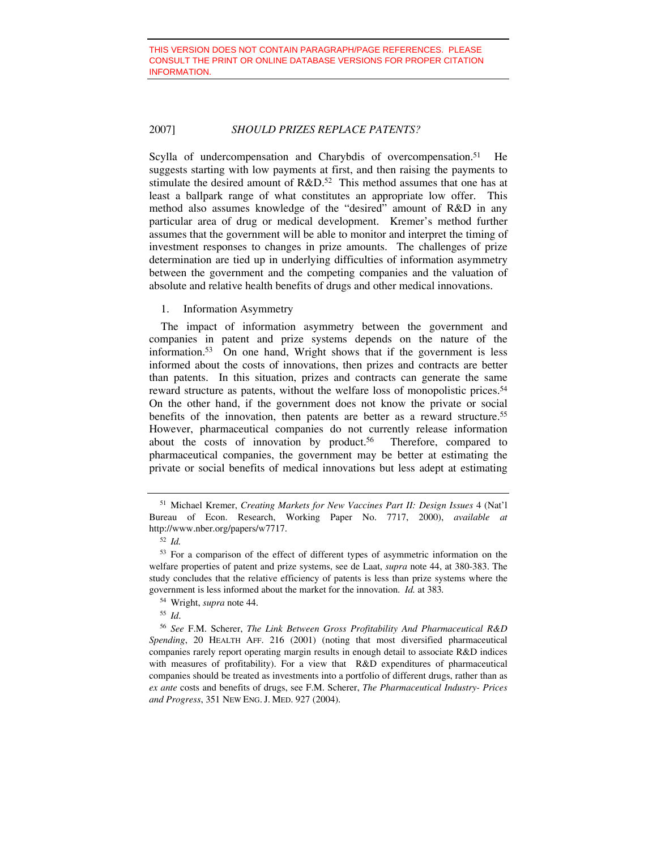Scylla of undercompensation and Charybdis of overcompensation.<sup>51</sup> He suggests starting with low payments at first, and then raising the payments to stimulate the desired amount of R&D.<sup>52</sup> This method assumes that one has at least a ballpark range of what constitutes an appropriate low offer. This method also assumes knowledge of the "desired" amount of R&D in any particular area of drug or medical development. Kremer's method further assumes that the government will be able to monitor and interpret the timing of investment responses to changes in prize amounts. The challenges of prize determination are tied up in underlying difficulties of information asymmetry between the government and the competing companies and the valuation of absolute and relative health benefits of drugs and other medical innovations.

#### 1. Information Asymmetry

The impact of information asymmetry between the government and companies in patent and prize systems depends on the nature of the information.53 On one hand, Wright shows that if the government is less informed about the costs of innovations, then prizes and contracts are better than patents. In this situation, prizes and contracts can generate the same reward structure as patents, without the welfare loss of monopolistic prices.<sup>54</sup> On the other hand, if the government does not know the private or social benefits of the innovation, then patents are better as a reward structure.55 However, pharmaceutical companies do not currently release information about the costs of innovation by product.<sup>56</sup> Therefore, compared to pharmaceutical companies, the government may be better at estimating the private or social benefits of medical innovations but less adept at estimating

<sup>51</sup> Michael Kremer, *Creating Markets for New Vaccines Part II: Design Issues* 4 (Nat'l Bureau of Econ. Research, Working Paper No. 7717, 2000), *available at* http://www.nber.org/papers/w7717. 52 *Id.*

<sup>53</sup> For a comparison of the effect of different types of asymmetric information on the welfare properties of patent and prize systems, see de Laat, *supra* note 44, at 380-383. The study concludes that the relative efficiency of patents is less than prize systems where the government is less informed about the market for the innovation. *Id.* at 383*.* 

<sup>54</sup> Wright, *supra* note 44.

<sup>55</sup> *Id*.

<sup>56</sup> *See* F.M. Scherer, *The Link Between Gross Profitability And Pharmaceutical R&D Spending*, 20 HEALTH AFF. 216 (2001) (noting that most diversified pharmaceutical companies rarely report operating margin results in enough detail to associate R&D indices with measures of profitability). For a view that R&D expenditures of pharmaceutical companies should be treated as investments into a portfolio of different drugs, rather than as *ex ante* costs and benefits of drugs, see F.M. Scherer, *The Pharmaceutical Industry- Prices and Progress*, 351 NEW ENG. J. MED. 927 (2004).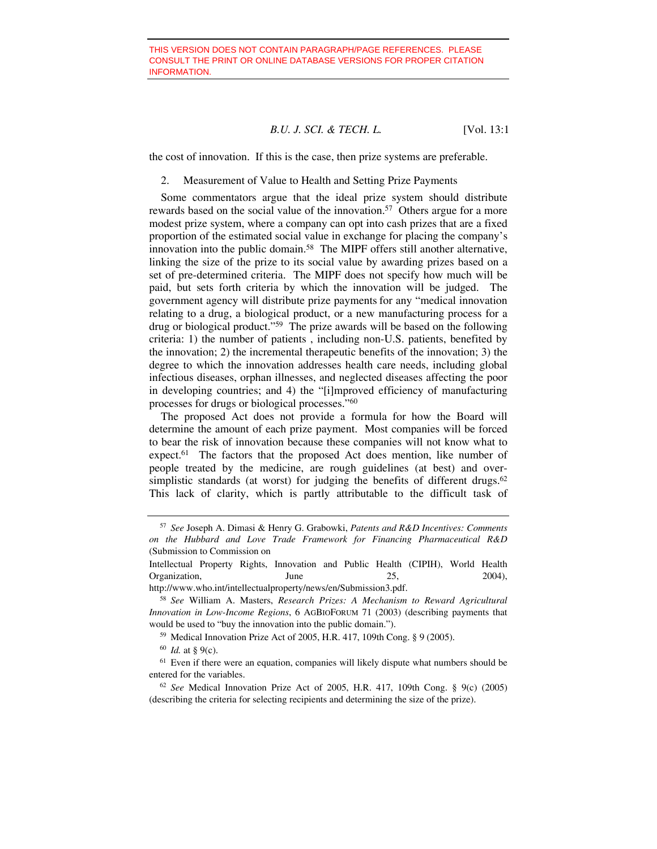the cost of innovation. If this is the case, then prize systems are preferable.

2. Measurement of Value to Health and Setting Prize Payments

Some commentators argue that the ideal prize system should distribute rewards based on the social value of the innovation.<sup>57</sup> Others argue for a more modest prize system, where a company can opt into cash prizes that are a fixed proportion of the estimated social value in exchange for placing the company's innovation into the public domain.<sup>58</sup> The MIPF offers still another alternative. linking the size of the prize to its social value by awarding prizes based on a set of pre-determined criteria. The MIPF does not specify how much will be paid, but sets forth criteria by which the innovation will be judged. The government agency will distribute prize payments for any "medical innovation relating to a drug, a biological product, or a new manufacturing process for a drug or biological product."59 The prize awards will be based on the following criteria: 1) the number of patients , including non-U.S. patients, benefited by the innovation; 2) the incremental therapeutic benefits of the innovation; 3) the degree to which the innovation addresses health care needs, including global infectious diseases, orphan illnesses, and neglected diseases affecting the poor in developing countries; and 4) the "[i]mproved efficiency of manufacturing processes for drugs or biological processes."60

The proposed Act does not provide a formula for how the Board will determine the amount of each prize payment. Most companies will be forced to bear the risk of innovation because these companies will not know what to expect.<sup>61</sup> The factors that the proposed Act does mention, like number of people treated by the medicine, are rough guidelines (at best) and oversimplistic standards (at worst) for judging the benefits of different drugs. $62$ This lack of clarity, which is partly attributable to the difficult task of

<sup>57</sup> *See* Joseph A. Dimasi & Henry G. Grabowki, *Patents and R&D Incentives: Comments on the Hubbard and Love Trade Framework for Financing Pharmaceutical R&D* (Submission to Commission on

Intellectual Property Rights, Innovation and Public Health (CIPIH), World Health Organization, June 25, 2004),

http://www.who.int/intellectualproperty/news/en/Submission3.pdf.

<sup>58</sup> *See* William A. Masters, *Research Prizes: A Mechanism to Reward Agricultural Innovation in Low-Income Regions*, 6 AGBIOFORUM 71 (2003) (describing payments that would be used to "buy the innovation into the public domain.").

<sup>59</sup> Medical Innovation Prize Act of 2005, H.R. 417, 109th Cong. § 9 (2005).

<sup>60</sup> *Id.* at § 9(c).

 $61$  Even if there were an equation, companies will likely dispute what numbers should be entered for the variables.

<sup>62</sup> *See* Medical Innovation Prize Act of 2005, H.R. 417, 109th Cong. § 9(c) (2005) (describing the criteria for selecting recipients and determining the size of the prize).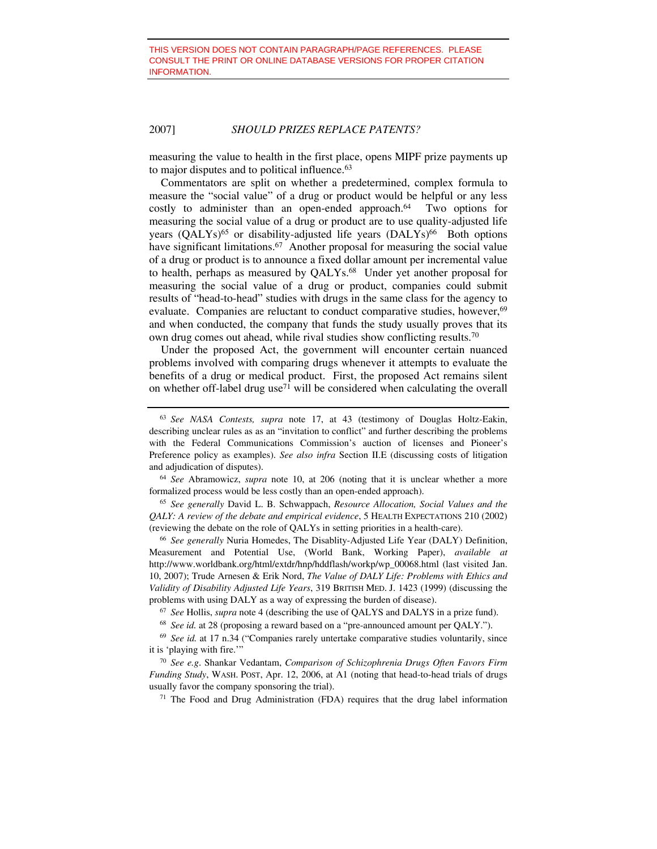measuring the value to health in the first place, opens MIPF prize payments up to major disputes and to political influence.<sup>63</sup>

Commentators are split on whether a predetermined, complex formula to measure the "social value" of a drug or product would be helpful or any less costly to administer than an open-ended approach. $64$  Two options for measuring the social value of a drug or product are to use quality-adjusted life years  $(QALYs)$ <sup>65</sup> or disability-adjusted life years  $(DALYs)$ <sup>66</sup> Both options have significant limitations.<sup>67</sup> Another proposal for measuring the social value of a drug or product is to announce a fixed dollar amount per incremental value to health, perhaps as measured by QALYs.<sup>68</sup> Under yet another proposal for measuring the social value of a drug or product, companies could submit results of "head-to-head" studies with drugs in the same class for the agency to evaluate. Companies are reluctant to conduct comparative studies, however,<sup>69</sup> and when conducted, the company that funds the study usually proves that its own drug comes out ahead, while rival studies show conflicting results.70

Under the proposed Act, the government will encounter certain nuanced problems involved with comparing drugs whenever it attempts to evaluate the benefits of a drug or medical product. First, the proposed Act remains silent on whether off-label drug use<sup>71</sup> will be considered when calculating the overall

<sup>64</sup> *See* Abramowicz, *supra* note 10, at 206 (noting that it is unclear whether a more formalized process would be less costly than an open-ended approach). 65 *See generally* David L. B. Schwappach, *Resource Allocation, Social Values and the* 

*QALY: A review of the debate and empirical evidence*, 5 HEALTH EXPECTATIONS 210 (2002) (reviewing the debate on the role of QALYs in setting priorities in a health-care).

<sup>66</sup> *See generally* Nuria Homedes, The Disablity-Adjusted Life Year (DALY) Definition, Measurement and Potential Use, (World Bank, Working Paper), *available at* http://www.worldbank.org/html/extdr/hnp/hddflash/workp/wp\_00068.html (last visited Jan. 10, 2007); Trude Arnesen & Erik Nord, *The Value of DALY Life: Problems with Ethics and Validity of Disability Adjusted Life Years*, 319 BRITISH MED. J. 1423 (1999) (discussing the problems with using DALY as a way of expressing the burden of disease). 67 *See* Hollis, *supra* note 4 (describing the use of QALYS and DALYS in a prize fund).

<sup>68</sup> *See id.* at 28 (proposing a reward based on a "pre-announced amount per QALY.").

<sup>69</sup> *See id.* at 17 n.34 ("Companies rarely untertake comparative studies voluntarily, since it is 'playing with fire.'"

<sup>70</sup> *See e.g*. Shankar Vedantam, *Comparison of Schizophrenia Drugs Often Favors Firm Funding Study*, WASH. POST, Apr. 12, 2006, at A1 (noting that head-to-head trials of drugs usually favor the company sponsoring the trial).<br><sup>71</sup> The Food and Drug Administration (FDA) requires that the drug label information

<sup>63</sup> *See NASA Contests, supra* note 17, at 43 (testimony of Douglas Holtz-Eakin, describing unclear rules as as an "invitation to conflict" and further describing the problems with the Federal Communications Commission's auction of licenses and Pioneer's Preference policy as examples). *See also infra* Section II.E (discussing costs of litigation and adjudication of disputes).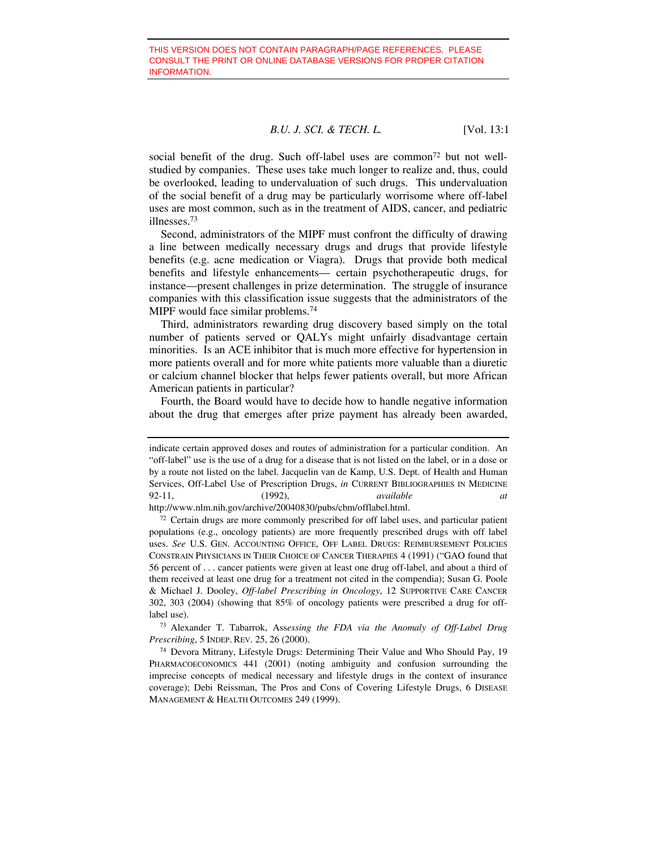social benefit of the drug. Such off-label uses are common<sup>72</sup> but not wellstudied by companies. These uses take much longer to realize and, thus, could be overlooked, leading to undervaluation of such drugs. This undervaluation of the social benefit of a drug may be particularly worrisome where off-label uses are most common, such as in the treatment of AIDS, cancer, and pediatric illnesses.73

Second, administrators of the MIPF must confront the difficulty of drawing a line between medically necessary drugs and drugs that provide lifestyle benefits (e.g. acne medication or Viagra). Drugs that provide both medical benefits and lifestyle enhancements— certain psychotherapeutic drugs, for instance—present challenges in prize determination. The struggle of insurance companies with this classification issue suggests that the administrators of the MIPF would face similar problems.<sup>74</sup>

Third, administrators rewarding drug discovery based simply on the total number of patients served or QALYs might unfairly disadvantage certain minorities. Is an ACE inhibitor that is much more effective for hypertension in more patients overall and for more white patients more valuable than a diuretic or calcium channel blocker that helps fewer patients overall, but more African American patients in particular?

Fourth, the Board would have to decide how to handle negative information about the drug that emerges after prize payment has already been awarded,

<sup>73</sup> Alexander T. Tabarrok, Ass*essing the FDA via the Anomaly of Off-Label Drug Prescribing*, 5 INDEP. REV. 25, 26 (2000).

indicate certain approved doses and routes of administration for a particular condition. An "off-label" use is the use of a drug for a disease that is not listed on the label, or in a dose or by a route not listed on the label. Jacquelin van de Kamp, U.S. Dept. of Health and Human Services, Off-Label Use of Prescription Drugs, *in* CURRENT BIBLIOGRAPHIES IN MEDICINE 92-11, (1992), *available at*

http://www.nlm.nih.gov/archive/20040830/pubs/cbm/offlabel.html.<br><sup>72</sup> Certain drugs are more commonly prescribed for off label uses, and particular patient populations (e.g., oncology patients) are more frequently prescribed drugs with off label uses. *See* U.S. GEN. ACCOUNTING OFFICE, OFF LABEL DRUGS: REIMBURSEMENT POLICIES CONSTRAIN PHYSICIANS IN THEIR CHOICE OF CANCER THERAPIES 4 (1991) ("GAO found that 56 percent of . . . cancer patients were given at least one drug off-label, and about a third of them received at least one drug for a treatment not cited in the compendia); Susan G. Poole & Michael J. Dooley, *Off-label Prescribing in Oncology*, 12 SUPPORTIVE CARE CANCER 302, 303 (2004) (showing that 85% of oncology patients were prescribed a drug for offlabel use).

<sup>74</sup> Devora Mitrany, Lifestyle Drugs: Determining Their Value and Who Should Pay, 19 PHARMACOECONOMICS 441 (2001) (noting ambiguity and confusion surrounding the imprecise concepts of medical necessary and lifestyle drugs in the context of insurance coverage); Debi Reissman, The Pros and Cons of Covering Lifestyle Drugs, 6 DISEASE MANAGEMENT & HEALTH OUTCOMES 249 (1999).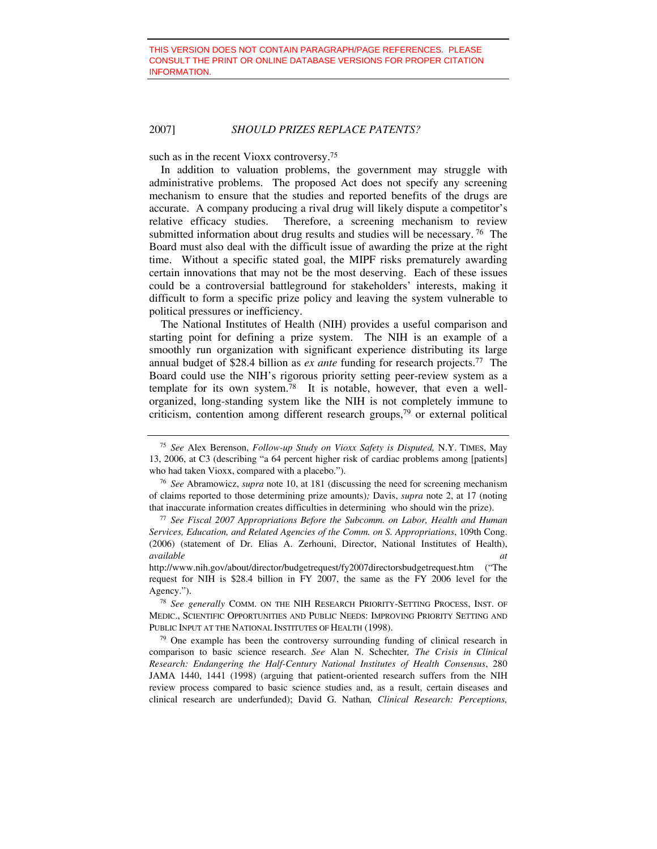such as in the recent Vioxx controversy.<sup>75</sup>

In addition to valuation problems, the government may struggle with administrative problems. The proposed Act does not specify any screening mechanism to ensure that the studies and reported benefits of the drugs are accurate. A company producing a rival drug will likely dispute a competitor's relative efficacy studies. Therefore, a screening mechanism to review submitted information about drug results and studies will be necessary. 76 The Board must also deal with the difficult issue of awarding the prize at the right time. Without a specific stated goal, the MIPF risks prematurely awarding certain innovations that may not be the most deserving. Each of these issues could be a controversial battleground for stakeholders' interests, making it difficult to form a specific prize policy and leaving the system vulnerable to political pressures or inefficiency.

The National Institutes of Health (NIH) provides a useful comparison and starting point for defining a prize system. The NIH is an example of a smoothly run organization with significant experience distributing its large annual budget of \$28.4 billion as *ex ante* funding for research projects.77 The Board could use the NIH's rigorous priority setting peer-review system as a template for its own system.<sup>78</sup> It is notable, however, that even a wellorganized, long-standing system like the NIH is not completely immune to criticism, contention among different research groups,79 or external political

<sup>75</sup> *See* Alex Berenson, *Follow-up Study on Vioxx Safety is Disputed,* N.Y. TIMES, May 13, 2006, at C3 (describing "a 64 percent higher risk of cardiac problems among [patients] who had taken Vioxx, compared with a placebo.").

<sup>76</sup> *See* Abramowicz, *supra* note 10, at 181 (discussing the need for screening mechanism of claims reported to those determining prize amounts)*;* Davis, *supra* note 2, at 17 (noting that inaccurate information creates difficulties in determining who should win the prize). 77 *See Fiscal 2007 Appropriations Before the Subcomm. on Labor, Health and Human* 

*Services, Education, and Related Agencies of the Comm. on S. Appropriations*, 109th Cong. (2006) (statement of Dr. Elias A. Zerhouni, Director, National Institutes of Health), *available at*

http://www.nih.gov/about/director/budgetrequest/fy2007directorsbudgetrequest.htm ("The request for NIH is \$28.4 billion in FY 2007, the same as the FY 2006 level for the Agency."). 78 *See generally* COMM. ON THE NIH RESEARCH PRIORITY-SETTING PROCESS, INST. OF

MEDIC., SCIENTIFIC OPPORTUNITIES AND PUBLIC NEEDS: IMPROVING PRIORITY SETTING AND PUBLIC INPUT AT THE NATIONAL INSTITUTES OF HEALTH (1998).

 $79$  One example has been the controversy surrounding funding of clinical research in comparison to basic science research. *See* Alan N. Schechter*, The Crisis in Clinical Research: Endangering the Half-Century National Institutes of Health Consensus*, 280 JAMA 1440, 1441 (1998) (arguing that patient-oriented research suffers from the NIH review process compared to basic science studies and, as a result, certain diseases and clinical research are underfunded); David G. Nathan*, Clinical Research: Perceptions,*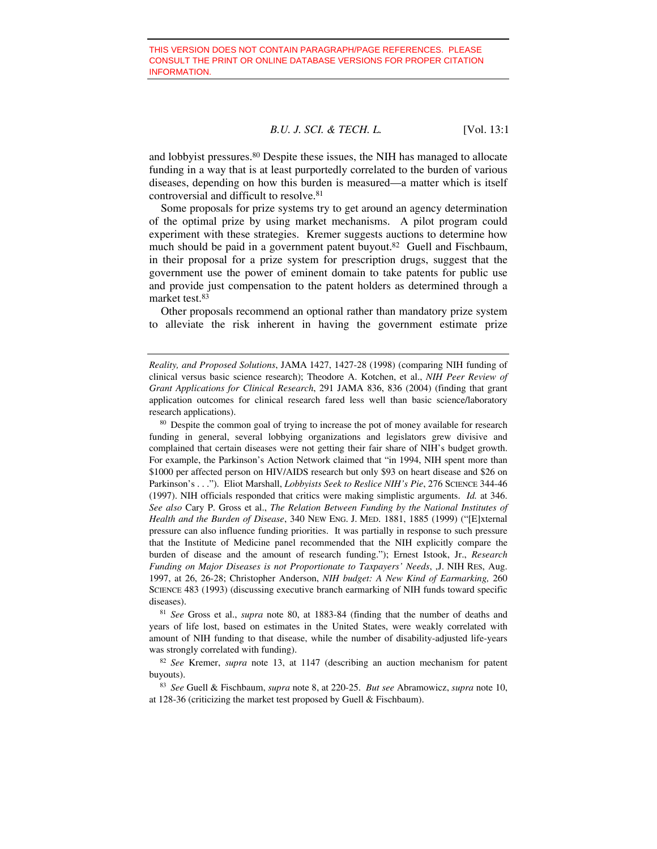and lobbyist pressures.80 Despite these issues, the NIH has managed to allocate funding in a way that is at least purportedly correlated to the burden of various diseases, depending on how this burden is measured—a matter which is itself controversial and difficult to resolve.81

Some proposals for prize systems try to get around an agency determination of the optimal prize by using market mechanisms. A pilot program could experiment with these strategies. Kremer suggests auctions to determine how much should be paid in a government patent buyout.<sup>82</sup> Guell and Fischbaum, in their proposal for a prize system for prescription drugs, suggest that the government use the power of eminent domain to take patents for public use and provide just compensation to the patent holders as determined through a market test.83

Other proposals recommend an optional rather than mandatory prize system to alleviate the risk inherent in having the government estimate prize

<sup>80</sup> Despite the common goal of trying to increase the pot of money available for research funding in general, several lobbying organizations and legislators grew divisive and complained that certain diseases were not getting their fair share of NIH's budget growth. For example, the Parkinson's Action Network claimed that "in 1994, NIH spent more than \$1000 per affected person on HIV/AIDS research but only \$93 on heart disease and \$26 on Parkinson's . . ."). Eliot Marshall, *Lobbyists Seek to Reslice NIH's Pie*, 276 SCIENCE 344-46 (1997). NIH officials responded that critics were making simplistic arguments. *Id.* at 346. *See also* Cary P. Gross et al., *The Relation Between Funding by the National Institutes of Health and the Burden of Disease*, 340 NEW ENG. J. MED. 1881, 1885 (1999) ("[E]xternal pressure can also influence funding priorities. It was partially in response to such pressure that the Institute of Medicine panel recommended that the NIH explicitly compare the burden of disease and the amount of research funding."); Ernest Istook, Jr., *Research Funding on Major Diseases is not Proportionate to Taxpayers' Needs*, ,J. NIH RES, Aug. 1997, at 26, 26-28; Christopher Anderson, *NIH budget: A New Kind of Earmarking,* 260 SCIENCE 483 (1993) (discussing executive branch earmarking of NIH funds toward specific diseases).

<sup>81</sup> *See* Gross et al., *supra* note 80, at 1883-84 (finding that the number of deaths and years of life lost, based on estimates in the United States, were weakly correlated with amount of NIH funding to that disease, while the number of disability-adjusted life-years was strongly correlated with funding).

<sup>82</sup> *See* Kremer, *supra* note 13, at 1147 (describing an auction mechanism for patent buyouts).

<sup>83</sup> *See* Guell & Fischbaum, *supra* note 8, at 220-25. *But see* Abramowicz, *supra* note 10, at 128-36 (criticizing the market test proposed by Guell & Fischbaum).

*Reality, and Proposed Solutions*, JAMA 1427, 1427-28 (1998) (comparing NIH funding of clinical versus basic science research); Theodore A. Kotchen, et al., *NIH Peer Review of Grant Applications for Clinical Research*, 291 JAMA 836, 836 (2004) (finding that grant application outcomes for clinical research fared less well than basic science/laboratory research applications).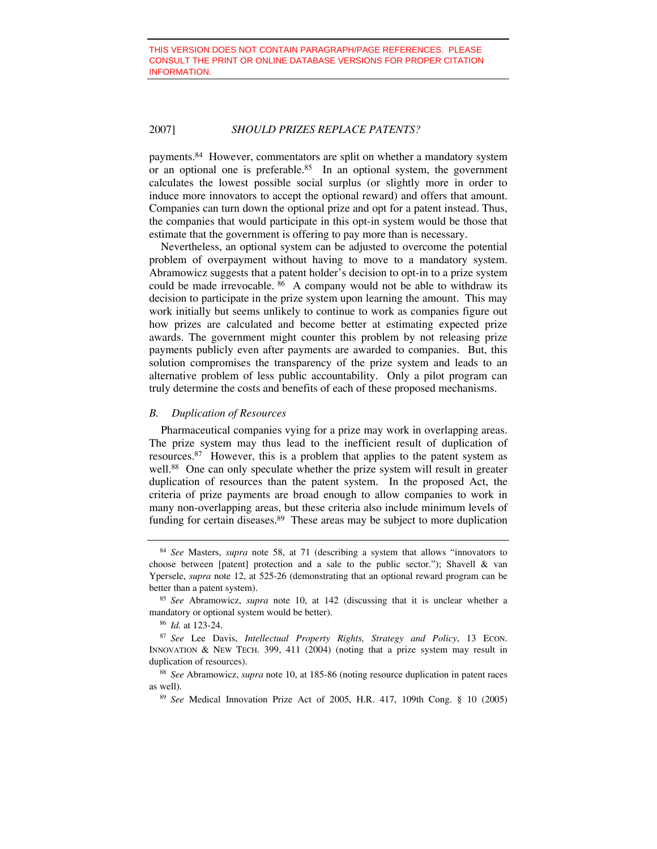payments.84 However, commentators are split on whether a mandatory system or an optional one is preferable.<sup>85</sup> In an optional system, the government calculates the lowest possible social surplus (or slightly more in order to induce more innovators to accept the optional reward) and offers that amount. Companies can turn down the optional prize and opt for a patent instead. Thus, the companies that would participate in this opt-in system would be those that estimate that the government is offering to pay more than is necessary.

Nevertheless, an optional system can be adjusted to overcome the potential problem of overpayment without having to move to a mandatory system. Abramowicz suggests that a patent holder's decision to opt-in to a prize system could be made irrevocable. <sup>86</sup> A company would not be able to withdraw its decision to participate in the prize system upon learning the amount. This may work initially but seems unlikely to continue to work as companies figure out how prizes are calculated and become better at estimating expected prize awards. The government might counter this problem by not releasing prize payments publicly even after payments are awarded to companies. But, this solution compromises the transparency of the prize system and leads to an alternative problem of less public accountability. Only a pilot program can truly determine the costs and benefits of each of these proposed mechanisms.

#### *B. Duplication of Resources*

Pharmaceutical companies vying for a prize may work in overlapping areas. The prize system may thus lead to the inefficient result of duplication of resources.87 However, this is a problem that applies to the patent system as well.<sup>88</sup> One can only speculate whether the prize system will result in greater duplication of resources than the patent system. In the proposed Act, the criteria of prize payments are broad enough to allow companies to work in many non-overlapping areas, but these criteria also include minimum levels of funding for certain diseases.<sup>89</sup> These areas may be subject to more duplication

<sup>84</sup> *See* Masters, *supra* note 58, at 71 (describing a system that allows "innovators to choose between [patent] protection and a sale to the public sector."); Shavell & van Ypersele, *supra* note 12, at 525-26 (demonstrating that an optional reward program can be

better than a patent system). 85 *See* Abramowicz, *supra* note 10, at 142 (discussing that it is unclear whether a mandatory or optional system would be better). 86 *Id.* at 123-24.

<sup>87</sup> *See* Lee Davis, *Intellectual Property Rights, Strategy and Policy*, 13 ECON. INNOVATION & NEW TECH. 399, 411 (2004) (noting that a prize system may result in duplication of resources). 88 *See* Abramowicz, *supra* note 10, at 185-86 (noting resource duplication in patent races

as well). 89 *See* Medical Innovation Prize Act of 2005, H.R. 417, 109th Cong. § 10 (2005)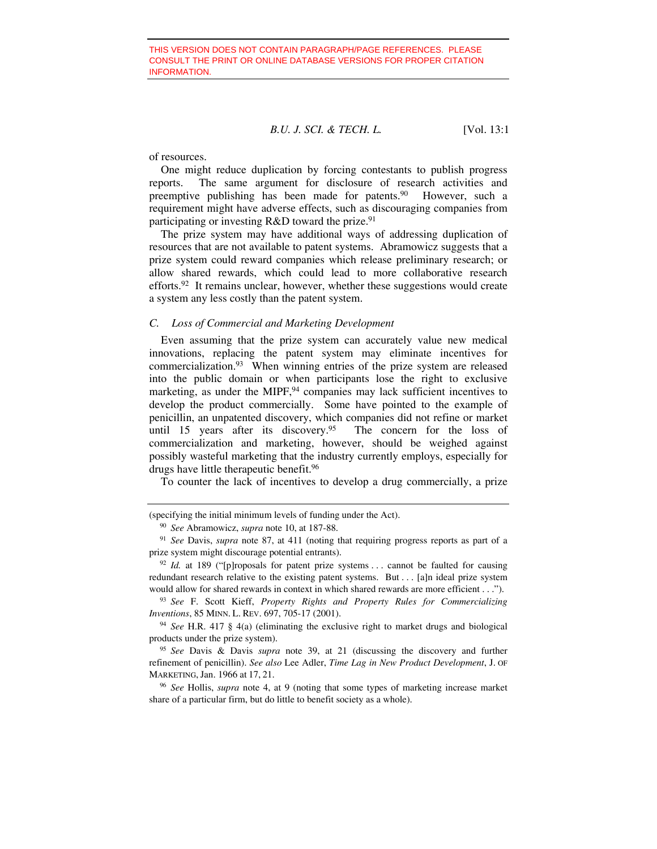of resources.

One might reduce duplication by forcing contestants to publish progress reports. The same argument for disclosure of research activities and preemptive publishing has been made for patents.<sup>90</sup> However, such a requirement might have adverse effects, such as discouraging companies from participating or investing  $R&D$  toward the prize.<sup>91</sup>

The prize system may have additional ways of addressing duplication of resources that are not available to patent systems. Abramowicz suggests that a prize system could reward companies which release preliminary research; or allow shared rewards, which could lead to more collaborative research efforts.92 It remains unclear, however, whether these suggestions would create a system any less costly than the patent system.

#### *C. Loss of Commercial and Marketing Development*

Even assuming that the prize system can accurately value new medical innovations, replacing the patent system may eliminate incentives for commercialization.93 When winning entries of the prize system are released into the public domain or when participants lose the right to exclusive marketing, as under the MIPF,<sup>94</sup> companies may lack sufficient incentives to develop the product commercially. Some have pointed to the example of penicillin, an unpatented discovery, which companies did not refine or market until 15 years after its discovery.<sup>95</sup> The concern for the loss of commercialization and marketing, however, should be weighed against possibly wasteful marketing that the industry currently employs, especially for drugs have little therapeutic benefit.96

To counter the lack of incentives to develop a drug commercially, a prize

<sup>(</sup>specifying the initial minimum levels of funding under the Act).

<sup>90</sup> *See* Abramowicz, *supra* note 10, at 187-88.

<sup>91</sup> *See* Davis, *supra* note 87, at 411 (noting that requiring progress reports as part of a prize system might discourage potential entrants).<br><sup>92</sup> *Id.* at 189 ("[p]roposals for patent prize systems . . . cannot be faulted for causing

redundant research relative to the existing patent systems. But . . . [a]n ideal prize system would allow for shared rewards in context in which shared rewards are more efficient . . .").

<sup>93</sup> *See* F. Scott Kieff, *Property Rights and Property Rules for Commercializing Inventions*, 85 MINN. L. REV. 697, 705-17 (2001).

<sup>94</sup> *See* H.R. 417 § 4(a) (eliminating the exclusive right to market drugs and biological products under the prize system). 95 *See* Davis & Davis *supra* note 39, at 21 (discussing the discovery and further

refinement of penicillin). *See also* Lee Adler, *Time Lag in New Product Development*, J. OF MARKETING, Jan. 1966 at 17, 21.

<sup>96</sup> *See* Hollis, *supra* note 4, at 9 (noting that some types of marketing increase market share of a particular firm, but do little to benefit society as a whole).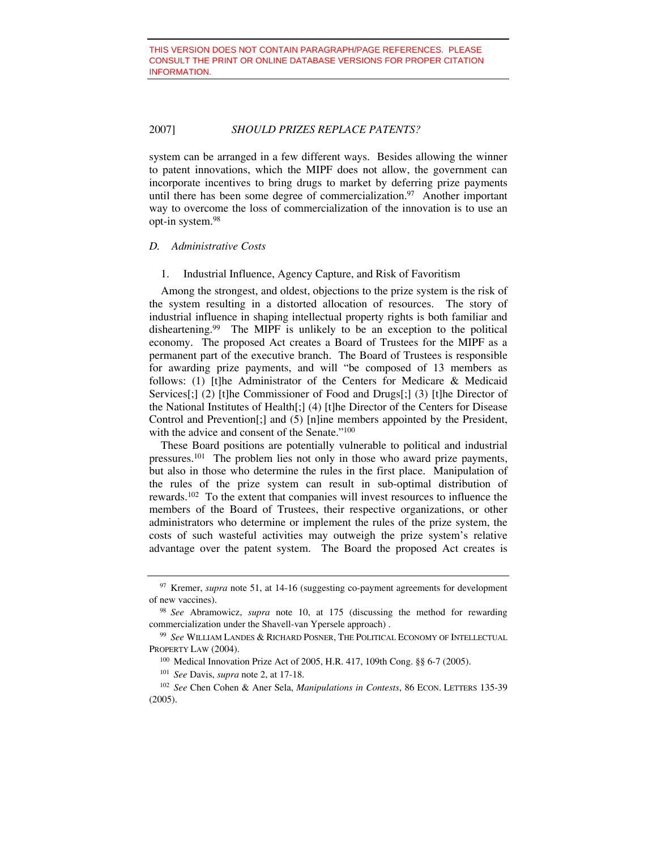system can be arranged in a few different ways. Besides allowing the winner to patent innovations, which the MIPF does not allow, the government can incorporate incentives to bring drugs to market by deferring prize payments until there has been some degree of commercialization.<sup>97</sup> Another important way to overcome the loss of commercialization of the innovation is to use an opt-in system.98

#### *D. Administrative Costs*

1. Industrial Influence, Agency Capture, and Risk of Favoritism

Among the strongest, and oldest, objections to the prize system is the risk of the system resulting in a distorted allocation of resources. The story of industrial influence in shaping intellectual property rights is both familiar and disheartening.99 The MIPF is unlikely to be an exception to the political economy. The proposed Act creates a Board of Trustees for the MIPF as a permanent part of the executive branch. The Board of Trustees is responsible for awarding prize payments, and will "be composed of 13 members as follows: (1) [t]he Administrator of the Centers for Medicare & Medicaid Services[;] (2) [t]he Commissioner of Food and Drugs[;] (3) [t]he Director of the National Institutes of Health[;] (4) [t]he Director of the Centers for Disease Control and Prevention[;] and (5) [n]ine members appointed by the President, with the advice and consent of the Senate."<sup>100</sup>

These Board positions are potentially vulnerable to political and industrial pressures.101 The problem lies not only in those who award prize payments, but also in those who determine the rules in the first place. Manipulation of the rules of the prize system can result in sub-optimal distribution of rewards.102 To the extent that companies will invest resources to influence the members of the Board of Trustees, their respective organizations, or other administrators who determine or implement the rules of the prize system, the costs of such wasteful activities may outweigh the prize system's relative advantage over the patent system. The Board the proposed Act creates is

<sup>&</sup>lt;sup>97</sup> Kremer, *supra* note 51, at 14-16 (suggesting co-payment agreements for development of new vaccines). 98 *See* Abramowicz, *supra* note 10, at 175 (discussing the method for rewarding

commercialization under the Shavell-van Ypersele approach) .

<sup>99</sup> *See* WILLIAM LANDES & RICHARD POSNER, THE POLITICAL ECONOMY OF INTELLECTUAL PROPERTY LAW (2004).

<sup>100</sup> Medical Innovation Prize Act of 2005, H.R. 417, 109th Cong. §§ 6-7 (2005).

<sup>101</sup> *See* Davis, *supra* note 2, at 17-18.

<sup>102</sup> *See* Chen Cohen & Aner Sela, *Manipulations in Contests*, 86 ECON. LETTERS 135-39 (2005).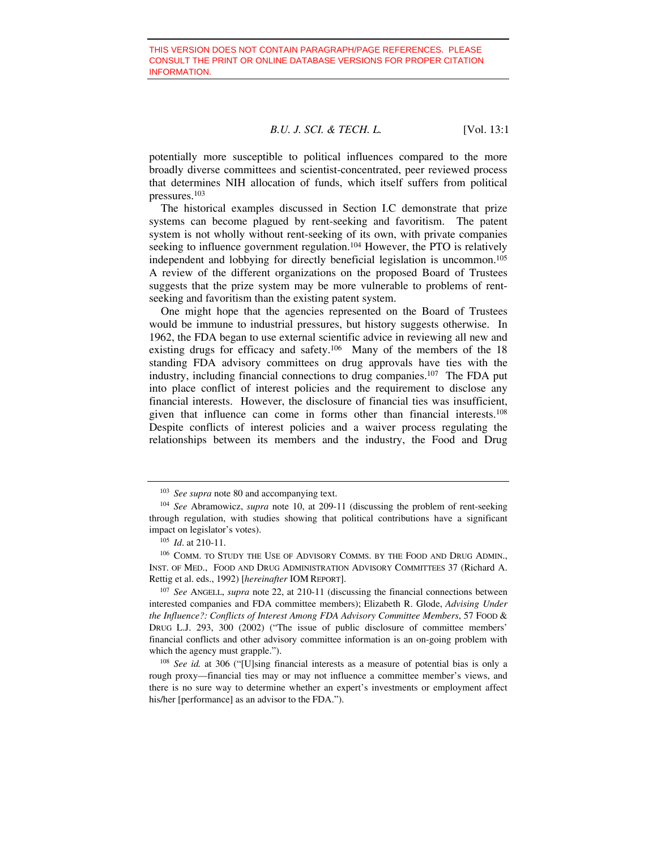potentially more susceptible to political influences compared to the more broadly diverse committees and scientist-concentrated, peer reviewed process that determines NIH allocation of funds, which itself suffers from political pressures.103

The historical examples discussed in Section I.C demonstrate that prize systems can become plagued by rent-seeking and favoritism. The patent system is not wholly without rent-seeking of its own, with private companies seeking to influence government regulation.<sup>104</sup> However, the PTO is relatively independent and lobbying for directly beneficial legislation is uncommon.105 A review of the different organizations on the proposed Board of Trustees suggests that the prize system may be more vulnerable to problems of rentseeking and favoritism than the existing patent system.

One might hope that the agencies represented on the Board of Trustees would be immune to industrial pressures, but history suggests otherwise. In 1962, the FDA began to use external scientific advice in reviewing all new and existing drugs for efficacy and safety.<sup>106</sup> Many of the members of the 18 standing FDA advisory committees on drug approvals have ties with the industry, including financial connections to drug companies.107 The FDA put into place conflict of interest policies and the requirement to disclose any financial interests. However, the disclosure of financial ties was insufficient, given that influence can come in forms other than financial interests.108 Despite conflicts of interest policies and a waiver process regulating the relationships between its members and the industry, the Food and Drug

<sup>107</sup> *See* ANGELL, *supra* note 22, at 210-11 (discussing the financial connections between interested companies and FDA committee members); Elizabeth R. Glode, *Advising Under the Influence?: Conflicts of Interest Among FDA Advisory Committee Members*, 57 FOOD & DRUG L.J. 293, 300 (2002) ("The issue of public disclosure of committee members' financial conflicts and other advisory committee information is an on-going problem with which the agency must grapple.").<br><sup>108</sup> *See id.* at 306 ("[U]sing financial interests as a measure of potential bias is only a

rough proxy—financial ties may or may not influence a committee member's views, and there is no sure way to determine whether an expert's investments or employment affect his/her [performance] as an advisor to the FDA.").

<sup>&</sup>lt;sup>103</sup> *See supra* note 80 and accompanying text.<br><sup>104</sup> *See* Abramowicz, *supra* note 10, at 209-11 (discussing the problem of rent-seeking through regulation, with studies showing that political contributions have a significant impact on legislator's votes). 105 *Id*. at 210-11.

<sup>106</sup> COMM. TO STUDY THE USE OF ADVISORY COMMS. BY THE FOOD AND DRUG ADMIN., INST. OF MED., FOOD AND DRUG ADMINISTRATION ADVISORY COMMITTEES 37 (Richard A. Rettig et al. eds., 1992) [*hereinafter* IOM REPORT].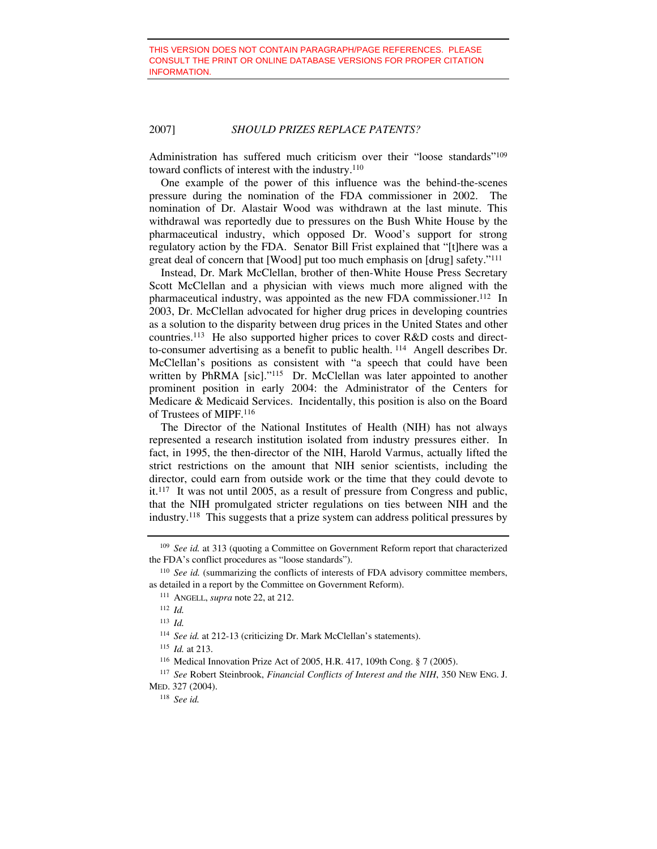Administration has suffered much criticism over their "loose standards"<sup>109</sup> toward conflicts of interest with the industry.110

One example of the power of this influence was the behind-the-scenes pressure during the nomination of the FDA commissioner in 2002. The nomination of Dr. Alastair Wood was withdrawn at the last minute. This withdrawal was reportedly due to pressures on the Bush White House by the pharmaceutical industry, which opposed Dr. Wood's support for strong regulatory action by the FDA. Senator Bill Frist explained that "[t]here was a great deal of concern that [Wood] put too much emphasis on [drug] safety."111

Instead, Dr. Mark McClellan, brother of then-White House Press Secretary Scott McClellan and a physician with views much more aligned with the pharmaceutical industry, was appointed as the new FDA commissioner.<sup>112</sup> In 2003, Dr. McClellan advocated for higher drug prices in developing countries as a solution to the disparity between drug prices in the United States and other countries.113 He also supported higher prices to cover R&D costs and directto-consumer advertising as a benefit to public health. 114 Angell describes Dr. McClellan's positions as consistent with "a speech that could have been written by PhRMA [sic]."<sup>115</sup> Dr. McClellan was later appointed to another prominent position in early 2004: the Administrator of the Centers for Medicare & Medicaid Services. Incidentally, this position is also on the Board of Trustees of MIPF.116

The Director of the National Institutes of Health (NIH) has not always represented a research institution isolated from industry pressures either. In fact, in 1995, the then-director of the NIH, Harold Varmus, actually lifted the strict restrictions on the amount that NIH senior scientists, including the director, could earn from outside work or the time that they could devote to it.117 It was not until 2005, as a result of pressure from Congress and public, that the NIH promulgated stricter regulations on ties between NIH and the industry.118 This suggests that a prize system can address political pressures by

<sup>113</sup> *Id.*

<sup>109</sup> *See id.* at 313 (quoting a Committee on Government Reform report that characterized the FDA's conflict procedures as "loose standards").

<sup>&</sup>lt;sup>110</sup> *See id.* (summarizing the conflicts of interests of FDA advisory committee members, as detailed in a report by the Committee on Government Reform).

<sup>111</sup> ANGELL, *supra* note 22, at 212.

<sup>112</sup> *Id.*

<sup>&</sup>lt;sup>114</sup> See id. at 212-13 (criticizing Dr. Mark McClellan's statements).

<sup>115</sup> *Id.* at 213.

<sup>116</sup> Medical Innovation Prize Act of 2005, H.R. 417, 109th Cong. § 7 (2005).

<sup>117</sup> *See* Robert Steinbrook, *Financial Conflicts of Interest and the NIH*, 350 NEW ENG. J. MED. 327 (2004).

<sup>118</sup> *See id.*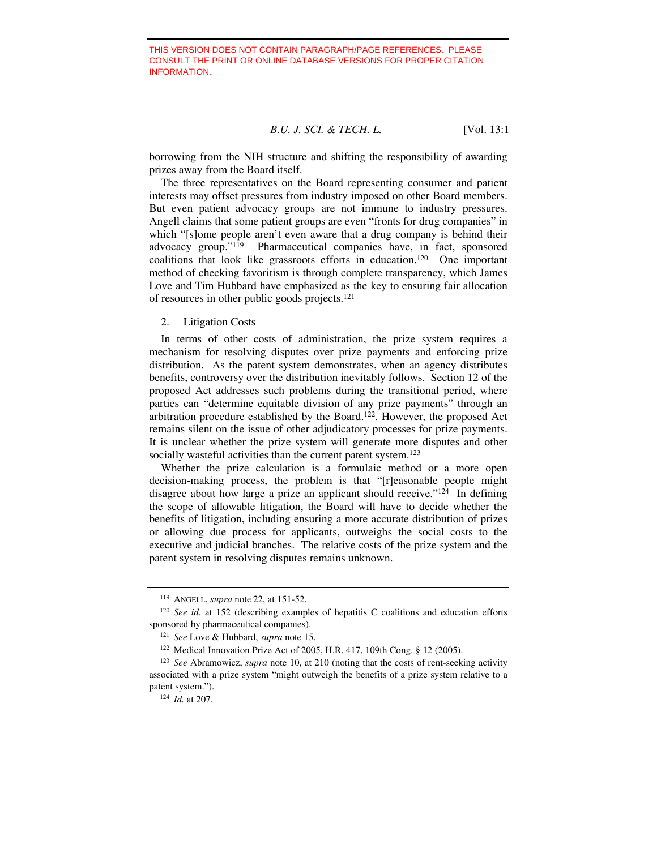borrowing from the NIH structure and shifting the responsibility of awarding prizes away from the Board itself.

The three representatives on the Board representing consumer and patient interests may offset pressures from industry imposed on other Board members. But even patient advocacy groups are not immune to industry pressures. Angell claims that some patient groups are even "fronts for drug companies" in which "[s]ome people aren't even aware that a drug company is behind their advocacy group."119 Pharmaceutical companies have, in fact, sponsored coalitions that look like grassroots efforts in education.120 One important method of checking favoritism is through complete transparency, which James Love and Tim Hubbard have emphasized as the key to ensuring fair allocation of resources in other public goods projects.121

2. Litigation Costs

In terms of other costs of administration, the prize system requires a mechanism for resolving disputes over prize payments and enforcing prize distribution. As the patent system demonstrates, when an agency distributes benefits, controversy over the distribution inevitably follows. Section 12 of the proposed Act addresses such problems during the transitional period, where parties can "determine equitable division of any prize payments" through an arbitration procedure established by the Board.122. However, the proposed Act remains silent on the issue of other adjudicatory processes for prize payments. It is unclear whether the prize system will generate more disputes and other socially wasteful activities than the current patent system.<sup>123</sup>

Whether the prize calculation is a formulaic method or a more open decision-making process, the problem is that "[r]easonable people might disagree about how large a prize an applicant should receive."124 In defining the scope of allowable litigation, the Board will have to decide whether the benefits of litigation, including ensuring a more accurate distribution of prizes or allowing due process for applicants, outweighs the social costs to the executive and judicial branches. The relative costs of the prize system and the patent system in resolving disputes remains unknown.

<sup>119</sup> ANGELL, *supra* note 22, at 151-52.

<sup>&</sup>lt;sup>120</sup> *See id.* at 152 (describing examples of hepatitis C coalitions and education efforts sponsored by pharmaceutical companies).

<sup>121</sup> *See* Love & Hubbard, *supra* note 15.

<sup>122</sup> Medical Innovation Prize Act of 2005, H.R. 417, 109th Cong. § 12 (2005).

<sup>123</sup> *See* Abramowicz, *supra* note 10, at 210 (noting that the costs of rent-seeking activity associated with a prize system "might outweigh the benefits of a prize system relative to a patent system."). 124 *Id.* at 207.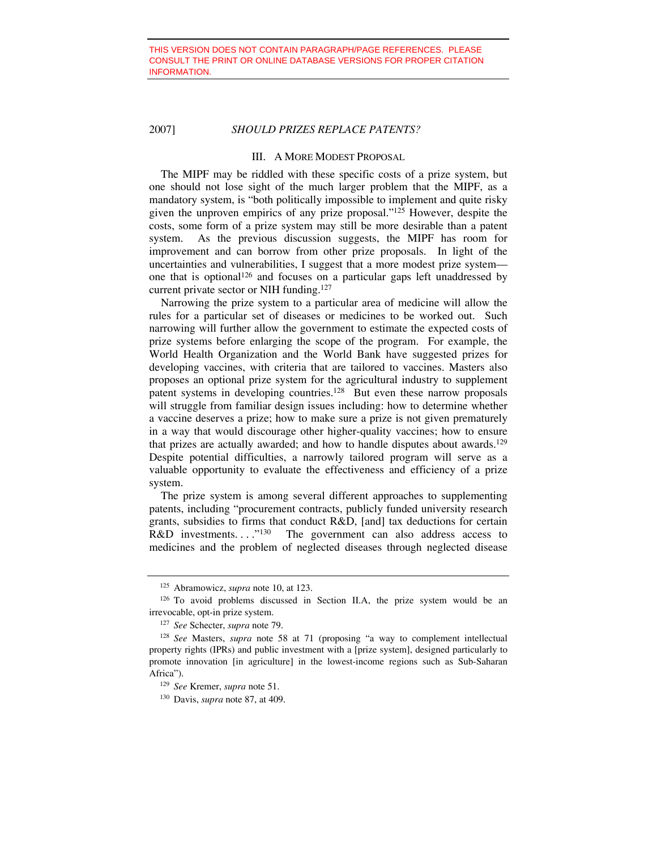#### III. A MORE MODEST PROPOSAL

The MIPF may be riddled with these specific costs of a prize system, but one should not lose sight of the much larger problem that the MIPF, as a mandatory system, is "both politically impossible to implement and quite risky given the unproven empirics of any prize proposal."125 However, despite the costs, some form of a prize system may still be more desirable than a patent system. As the previous discussion suggests, the MIPF has room for improvement and can borrow from other prize proposals. In light of the uncertainties and vulnerabilities, I suggest that a more modest prize system one that is optional<sup>126</sup> and focuses on a particular gaps left unaddressed by current private sector or NIH funding.127

Narrowing the prize system to a particular area of medicine will allow the rules for a particular set of diseases or medicines to be worked out. Such narrowing will further allow the government to estimate the expected costs of prize systems before enlarging the scope of the program. For example, the World Health Organization and the World Bank have suggested prizes for developing vaccines, with criteria that are tailored to vaccines. Masters also proposes an optional prize system for the agricultural industry to supplement patent systems in developing countries.128 But even these narrow proposals will struggle from familiar design issues including: how to determine whether a vaccine deserves a prize; how to make sure a prize is not given prematurely in a way that would discourage other higher-quality vaccines; how to ensure that prizes are actually awarded; and how to handle disputes about awards.<sup>129</sup> Despite potential difficulties, a narrowly tailored program will serve as a valuable opportunity to evaluate the effectiveness and efficiency of a prize system.

The prize system is among several different approaches to supplementing patents, including "procurement contracts, publicly funded university research grants, subsidies to firms that conduct R&D, [and] tax deductions for certain R&D investments...." $^{130}$  The government can also address access to medicines and the problem of neglected diseases through neglected disease

<sup>125</sup> Abramowicz, *supra* note 10, at 123.

<sup>126</sup> To avoid problems discussed in Section II.A, the prize system would be an irrevocable, opt-in prize system. 127 *See* Schecter, *supra* note 79.

<sup>128</sup> *See* Masters, *supra* note 58 at 71 (proposing "a way to complement intellectual property rights (IPRs) and public investment with a [prize system], designed particularly to promote innovation [in agriculture] in the lowest-income regions such as Sub-Saharan Africa"). 129 *See* Kremer, *supra* note 51.

<sup>130</sup> Davis, *supra* note 87, at 409.